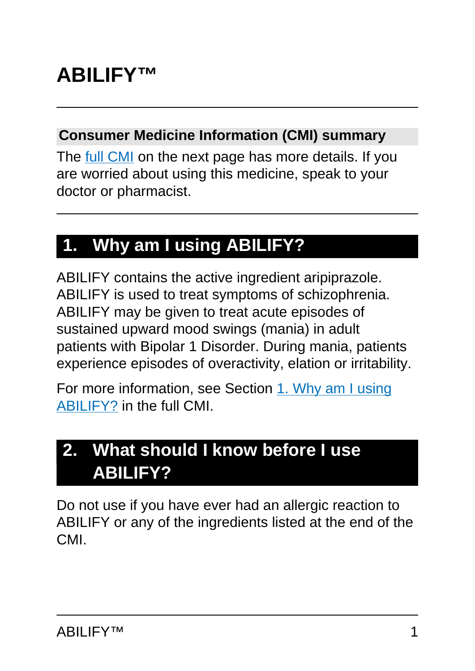# **ABILIFY™**

#### **Consumer Medicine Information (CMI) summary**

The [full CMI](#page-4-0) on the next page has more details. If you are worried about using this medicine, speak to your doctor or pharmacist.

# **1. Why am I using ABILIFY?**

ABILIFY contains the active ingredient aripiprazole. ABILIFY is used to treat symptoms of schizophrenia. ABILIFY may be given to treat acute episodes of sustained upward mood swings (mania) in adult patients with Bipolar 1 Disorder. During mania, patients experience episodes of overactivity, elation or irritability.

For more information, see Section [1. Why am I using](#page-4-1) [ABILIFY?](#page-4-1) in the full CMI.

# **2. What should I know before I use ABILIFY?**

Do not use if you have ever had an allergic reaction to ABILIFY or any of the ingredients listed at the end of the CMI.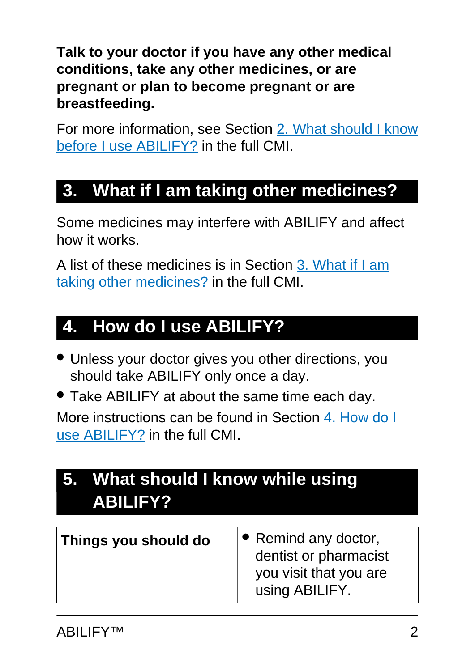**Talk to your doctor if you have any other medical conditions, take any other medicines, or are pregnant or plan to become pregnant or are breastfeeding.**

For more information, see Section [2. What should I know](#page-5-0) [before I use ABILIFY?](#page-5-0) in the full CMI.

# **3. What if I am taking other medicines?**

Some medicines may interfere with ABILIFY and affect how it works.

A list of these medicines is in Section [3. What if I am](#page-9-0) [taking other medicines?](#page-9-0) in the full CMI.

# **4. How do I use ABILIFY?**

- Unless your doctor gives you other directions, you should take ABILIFY only once a day.
- Take ABILIFY at about the same time each day.

More instructions can be found in Section [4. How do I](#page-11-0) [use ABILIFY?](#page-11-0) in the full CMI.

| 5. What should I know while using<br>ABILIFY? |                                                                                           |
|-----------------------------------------------|-------------------------------------------------------------------------------------------|
| Things you should do                          | • Remind any doctor,<br>dentist or pharmacist<br>you visit that you are<br>using ABILIFY. |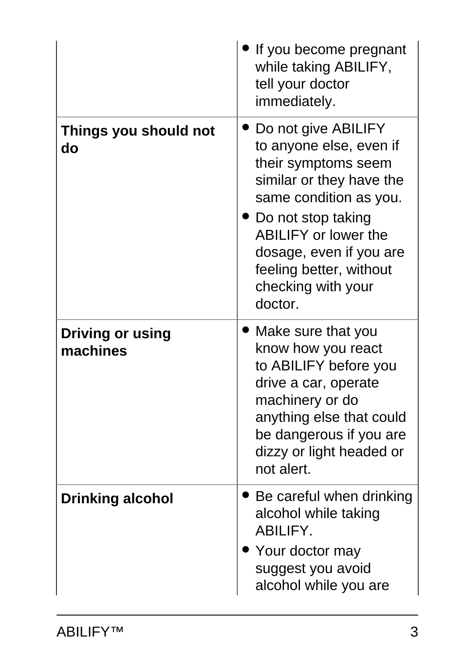|                                     | If you become pregnant<br>while taking ABILIFY,<br>tell your doctor<br>immediately.                                                                                                                                                                                       |
|-------------------------------------|---------------------------------------------------------------------------------------------------------------------------------------------------------------------------------------------------------------------------------------------------------------------------|
| Things you should not<br>do         | Do not give ABILIFY<br>to anyone else, even if<br>their symptoms seem<br>similar or they have the<br>same condition as you.<br>▸ Do not stop taking<br><b>ABILIFY or lower the</b><br>dosage, even if you are<br>feeling better, without<br>checking with your<br>doctor. |
| <b>Driving or using</b><br>machines | Make sure that you<br>know how you react<br>to ABILIFY before you<br>drive a car, operate<br>machinery or do<br>anything else that could<br>be dangerous if you are<br>dizzy or light headed or<br>not alert.                                                             |
| <b>Drinking alcohol</b>             | Be careful when drinking<br>alcohol while taking<br><b>ABILIFY.</b><br>Your doctor may<br>suggest you avoid<br>alcohol while you are                                                                                                                                      |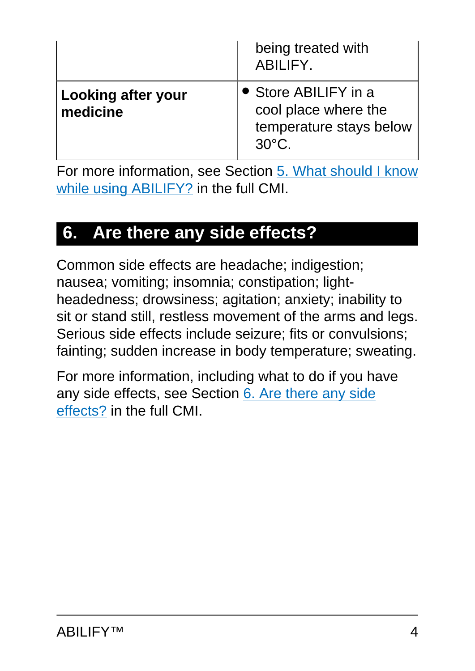|                                       | being treated with<br><b>ABILIFY.</b>                                                      |
|---------------------------------------|--------------------------------------------------------------------------------------------|
| <b>Looking after your</b><br>medicine | • Store ABILIFY in a<br>cool place where the<br>temperature stays below<br>$30^{\circ}$ C. |

For more information, see Section [5. What should I know](#page-13-0) [while using ABILIFY?](#page-13-0) in the full CMI.

# **6. Are there any side effects?**

Common side effects are headache; indigestion; nausea; vomiting; insomnia; constipation; lightheadedness; drowsiness; agitation; anxiety; inability to sit or stand still, restless movement of the arms and legs. Serious side effects include seizure; fits or convulsions; fainting; sudden increase in body temperature; sweating.

For more information, including what to do if you have any side effects, see Section [6. Are there any side](#page-16-0) [effects?](#page-16-0) in the full CMI.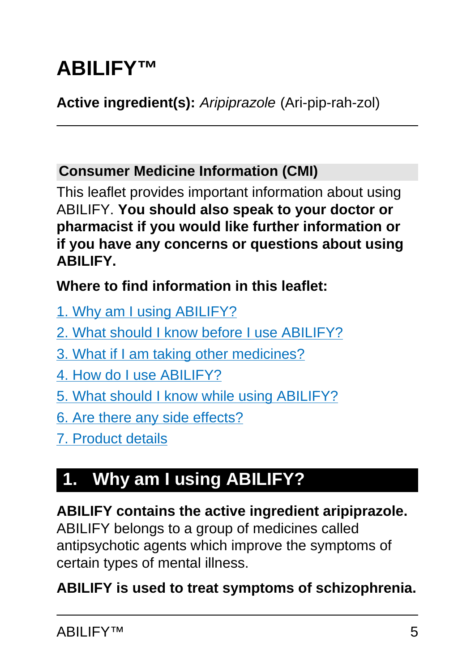# <span id="page-4-0"></span>**ABILIFY™**

## **Active ingredient(s):** Aripiprazole (Ari-pip-rah-zol)

### **Consumer Medicine Information (CMI)**

This leaflet provides important information about using ABILIFY. **You should also speak to your doctor or pharmacist if you would like further information or if you have any concerns or questions about using ABILIFY.**

### **Where to find information in this leaflet:**

- [1. Why am I using ABILIFY?](#page-4-1)
- [2. What should I know before I use ABILIFY?](#page-5-0)
- [3. What if I am taking other medicines?](#page-9-0)
- [4. How do I use ABILIFY?](#page-11-0)
- [5. What should I know while using ABILIFY?](#page-13-0)
- [6. Are there any side effects?](#page-16-0)
- [7. Product details](#page-23-0)

# <span id="page-4-1"></span>**1. Why am I using ABILIFY?**

# **ABILIFY contains the active ingredient aripiprazole.**

ABILIFY belongs to a group of medicines called antipsychotic agents which improve the symptoms of certain types of mental illness.

### **ABILIFY is used to treat symptoms of schizophrenia.**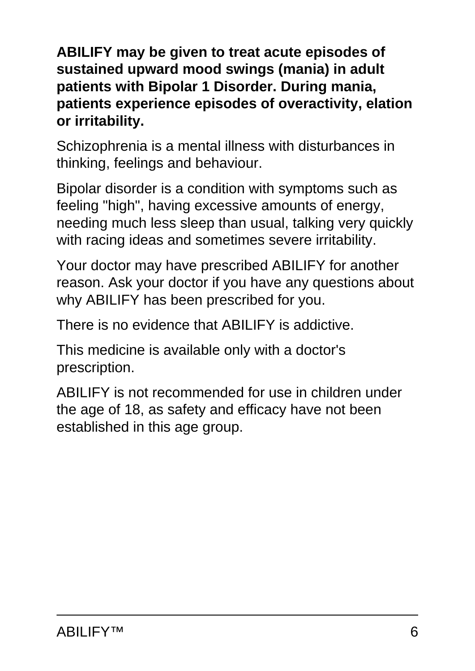**ABILIFY may be given to treat acute episodes of sustained upward mood swings (mania) in adult patients with Bipolar 1 Disorder. During mania, patients experience episodes of overactivity, elation or irritability.**

Schizophrenia is a mental illness with disturbances in thinking, feelings and behaviour.

Bipolar disorder is a condition with symptoms such as feeling "high", having excessive amounts of energy, needing much less sleep than usual, talking very quickly with racing ideas and sometimes severe irritability.

Your doctor may have prescribed ABILIFY for another reason. Ask your doctor if you have any questions about why ABILIFY has been prescribed for you.

There is no evidence that ABILIFY is addictive.

This medicine is available only with a doctor's prescription.

<span id="page-5-0"></span>ABILIFY is not recommended for use in children under the age of 18, as safety and efficacy have not been established in this age group.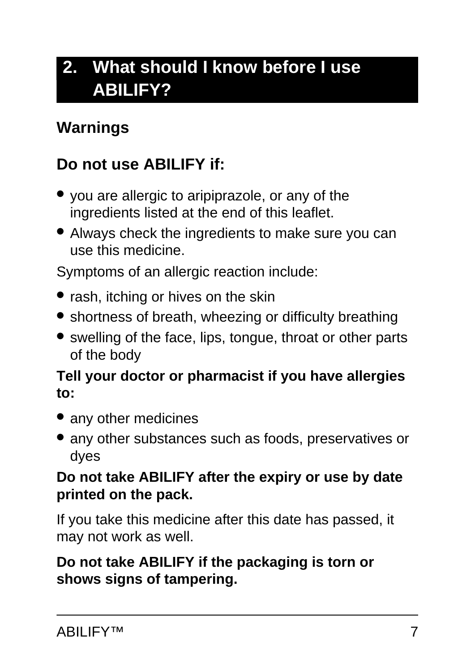# **2. What should I know before I use ABILIFY?**

## **Warnings**

## **Do not use ABILIFY if:**

- you are allergic to aripiprazole, or any of the ingredients listed at the end of this leaflet.
- Always check the ingredients to make sure you can use this medicine.

Symptoms of an allergic reaction include:

- rash, itching or hives on the skin
- shortness of breath, wheezing or difficulty breathing
- swelling of the face, lips, tongue, throat or other parts of the body

#### **Tell your doctor or pharmacist if you have allergies to:**

- any other medicines
- any other substances such as foods, preservatives or dyes

#### **Do not take ABILIFY after the expiry or use by date printed on the pack.**

If you take this medicine after this date has passed, it may not work as well.

#### **Do not take ABILIFY if the packaging is torn or shows signs of tampering.**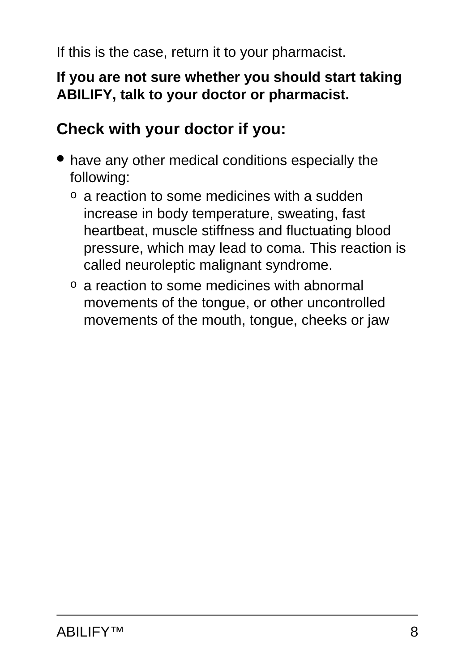If this is the case, return it to your pharmacist.

#### **If you are not sure whether you should start taking ABILIFY, talk to your doctor or pharmacist.**

## **Check with your doctor if you:**

- have any other medical conditions especially the following:
	- o a reaction to some medicines with a sudden increase in body temperature, sweating, fast heartbeat, muscle stiffness and fluctuating blood pressure, which may lead to coma. This reaction is called neuroleptic malignant syndrome.
	- o a reaction to some medicines with abnormal movements of the tongue, or other uncontrolled movements of the mouth, tongue, cheeks or jaw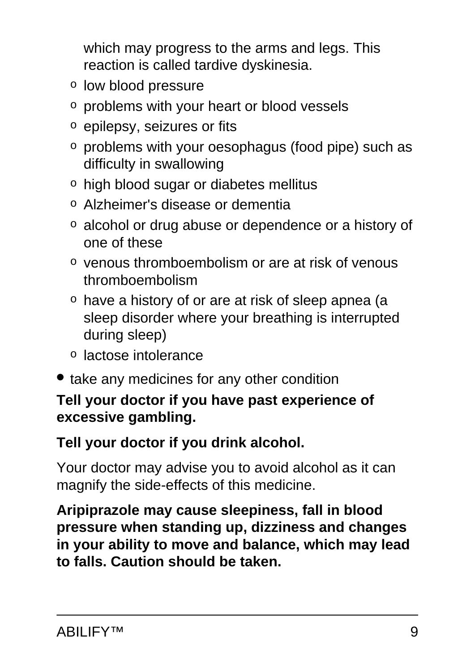which may progress to the arms and legs. This reaction is called tardive dyskinesia.

- o low blood pressure
- o problems with your heart or blood vessels
- o epilepsy, seizures or fits
- o problems with your oesophagus (food pipe) such as difficulty in swallowing
- o high blood sugar or diabetes mellitus
- o Alzheimer's disease or dementia
- o alcohol or drug abuse or dependence or a history of one of these
- o venous thromboembolism or are at risk of venous thromboembolism
- o have a history of or are at risk of sleep apnea (a sleep disorder where your breathing is interrupted during sleep)
- o lactose intolerance
- take any medicines for any other condition

### **Tell your doctor if you have past experience of excessive gambling.**

### **Tell your doctor if you drink alcohol.**

Your doctor may advise you to avoid alcohol as it can magnify the side-effects of this medicine.

**Aripiprazole may cause sleepiness, fall in blood pressure when standing up, dizziness and changes in your ability to move and balance, which may lead to falls. Caution should be taken.**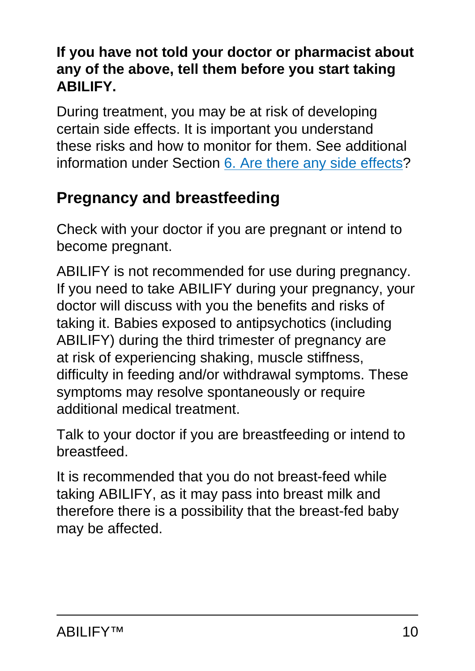### **If you have not told your doctor or pharmacist about any of the above, tell them before you start taking ABILIFY.**

During treatment, you may be at risk of developing certain side effects. It is important you understand these risks and how to monitor for them. See additional information under Section [6. Are there any side effects](#page-16-0)?

## **Pregnancy and breastfeeding**

Check with your doctor if you are pregnant or intend to become pregnant.

ABILIFY is not recommended for use during pregnancy. If you need to take ABILIFY during your pregnancy, your doctor will discuss with you the benefits and risks of taking it. Babies exposed to antipsychotics (including ABILIFY) during the third trimester of pregnancy are at risk of experiencing shaking, muscle stiffness, difficulty in feeding and/or withdrawal symptoms. These symptoms may resolve spontaneously or require additional medical treatment.

Talk to your doctor if you are breastfeeding or intend to breastfeed.

<span id="page-9-0"></span>It is recommended that you do not breast-feed while taking ABILIFY, as it may pass into breast milk and therefore there is a possibility that the breast-fed baby may be affected.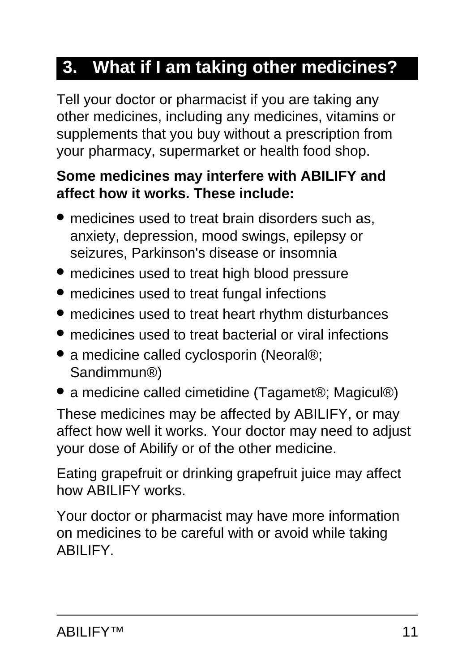# **3. What if I am taking other medicines?**

Tell your doctor or pharmacist if you are taking any other medicines, including any medicines, vitamins or supplements that you buy without a prescription from your pharmacy, supermarket or health food shop.

#### **Some medicines may interfere with ABILIFY and affect how it works. These include:**

- medicines used to treat brain disorders such as, anxiety, depression, mood swings, epilepsy or seizures, Parkinson's disease or insomnia
- medicines used to treat high blood pressure
- medicines used to treat fungal infections
- medicines used to treat heart rhythm disturbances
- medicines used to treat bacterial or viral infections
- a medicine called cyclosporin (Neoral®; Sandimmun®)
- a medicine called cimetidine (Tagamet®; Magicul®)

These medicines may be affected by ABILIFY, or may affect how well it works. Your doctor may need to adjust your dose of Abilify or of the other medicine.

Eating grapefruit or drinking grapefruit juice may affect how ABILIFY works.

Your doctor or pharmacist may have more information on medicines to be careful with or avoid while taking ABILIFY.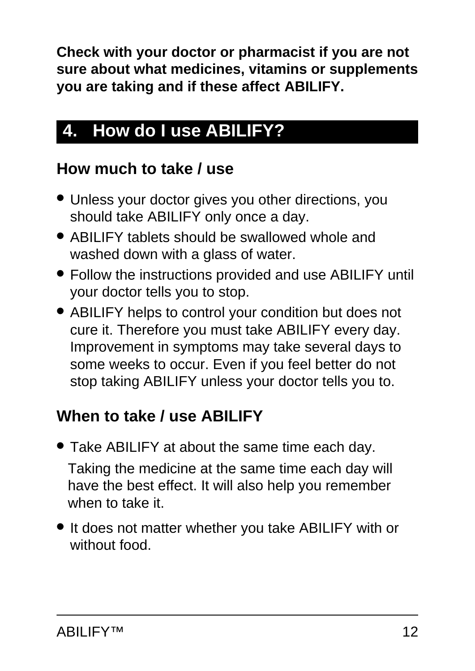**Check with your doctor or pharmacist if you are not sure about what medicines, vitamins or supplements you are taking and if these affect ABILIFY.**

# <span id="page-11-0"></span>**4. How do I use ABILIFY?**

## **How much to take / use**

- Unless your doctor gives you other directions, you should take ABILIFY only once a day.
- ABILIFY tablets should be swallowed whole and washed down with a glass of water.
- Follow the instructions provided and use ABILIFY until your doctor tells you to stop.
- ABILIFY helps to control your condition but does not cure it. Therefore you must take ABILIFY every day. Improvement in symptoms may take several days to some weeks to occur. Even if you feel better do not stop taking ABILIFY unless your doctor tells you to.

# **When to take / use ABILIFY**

- Take ABILIFY at about the same time each day. Taking the medicine at the same time each day will have the best effect. It will also help you remember when to take it.
- It does not matter whether you take ABILIFY with or without food.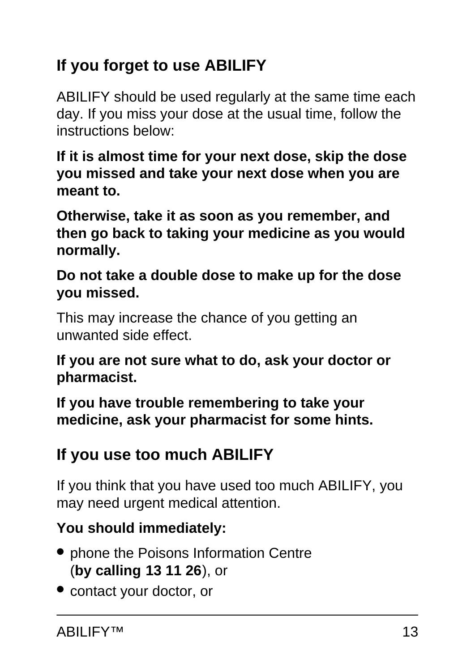# **If you forget to use ABILIFY**

ABILIFY should be used regularly at the same time each day. If you miss your dose at the usual time, follow the instructions below:

**If it is almost time for your next dose, skip the dose you missed and take your next dose when you are meant to.**

**Otherwise, take it as soon as you remember, and then go back to taking your medicine as you would normally.**

**Do not take a double dose to make up for the dose you missed.**

This may increase the chance of you getting an unwanted side effect.

**If you are not sure what to do, ask your doctor or pharmacist.**

**If you have trouble remembering to take your medicine, ask your pharmacist for some hints.**

# **If you use too much ABILIFY**

If you think that you have used too much ABILIFY, you may need urgent medical attention.

## **You should immediately:**

- phone the Poisons Information Centre (**by calling 13 11 26**), or
- contact your doctor, or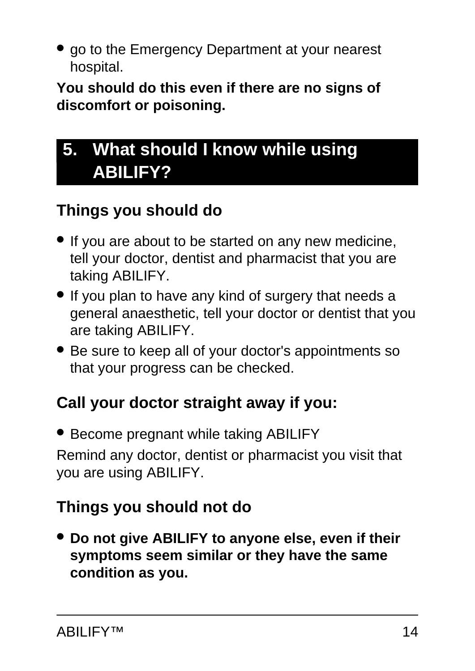• go to the Emergency Department at your nearest hospital.

**You should do this even if there are no signs of discomfort or poisoning.**

# <span id="page-13-0"></span>**5. What should I know while using ABILIFY?**

## **Things you should do**

- If you are about to be started on any new medicine, tell your doctor, dentist and pharmacist that you are taking ABILIFY.
- If you plan to have any kind of surgery that needs a general anaesthetic, tell your doctor or dentist that you are taking ABILIFY.
- Be sure to keep all of your doctor's appointments so that your progress can be checked.

## **Call your doctor straight away if you:**

● Become pregnant while taking ABILIFY Remind any doctor, dentist or pharmacist you visit that you are using ABILIFY.

# **Things you should not do**

● **Do not give ABILIFY to anyone else, even if their symptoms seem similar or they have the same condition as you.**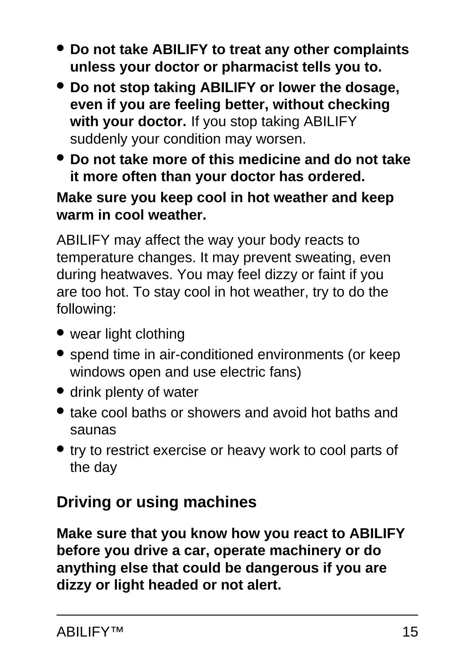- **Do not take ABILIFY to treat any other complaints unless your doctor or pharmacist tells you to.**
- **Do not stop taking ABILIFY or lower the dosage, even if you are feeling better, without checking with your doctor.** If you stop taking ABILIFY suddenly your condition may worsen.
- **Do not take more of this medicine and do not take it more often than your doctor has ordered.**

#### **Make sure you keep cool in hot weather and keep warm in cool weather.**

ABILIFY may affect the way your body reacts to temperature changes. It may prevent sweating, even during heatwaves. You may feel dizzy or faint if you are too hot. To stay cool in hot weather, try to do the following:

- wear light clothing
- spend time in air-conditioned environments (or keep windows open and use electric fans)
- drink plenty of water
- take cool baths or showers and avoid hot baths and saunas
- try to restrict exercise or heavy work to cool parts of the day

## **Driving or using machines**

**Make sure that you know how you react to ABILIFY before you drive a car, operate machinery or do anything else that could be dangerous if you are dizzy or light headed or not alert.**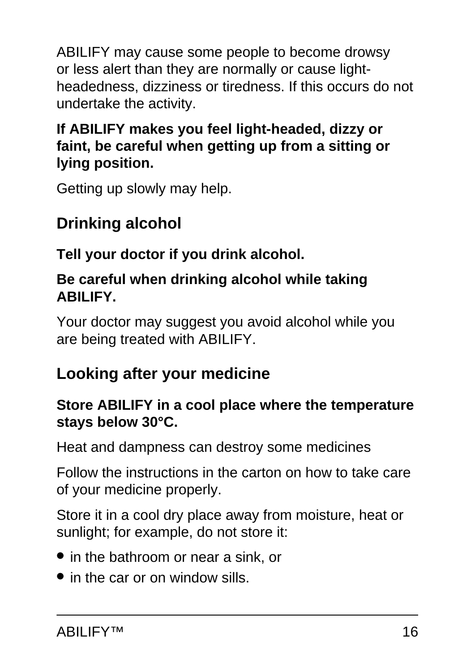ABILIFY may cause some people to become drowsy or less alert than they are normally or cause lightheadedness, dizziness or tiredness. If this occurs do not undertake the activity.

### **If ABILIFY makes you feel light-headed, dizzy or faint, be careful when getting up from a sitting or lying position.**

Getting up slowly may help.

# **Drinking alcohol**

## **Tell your doctor if you drink alcohol.**

### **Be careful when drinking alcohol while taking ABILIFY.**

Your doctor may suggest you avoid alcohol while you are being treated with ABILIFY.

# **Looking after your medicine**

### **Store ABILIFY in a cool place where the temperature stays below 30°C.**

Heat and dampness can destroy some medicines

Follow the instructions in the carton on how to take care of your medicine properly.

Store it in a cool dry place away from moisture, heat or sunlight; for example, do not store it:

- in the bathroom or near a sink, or
- in the car or on window sills.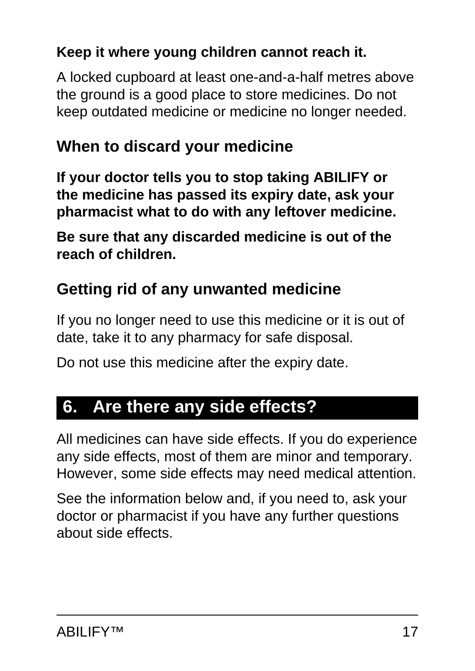## **Keep it where young children cannot reach it.**

A locked cupboard at least one-and-a-half metres above the ground is a good place to store medicines. Do not keep outdated medicine or medicine no longer needed.

## **When to discard your medicine**

**If your doctor tells you to stop taking ABILIFY or the medicine has passed its expiry date, ask your pharmacist what to do with any leftover medicine.**

**Be sure that any discarded medicine is out of the reach of children.**

## **Getting rid of any unwanted medicine**

If you no longer need to use this medicine or it is out of date, take it to any pharmacy for safe disposal.

Do not use this medicine after the expiry date.

# <span id="page-16-0"></span>**6. Are there any side effects?**

All medicines can have side effects. If you do experience any side effects, most of them are minor and temporary. However, some side effects may need medical attention.

See the information below and, if you need to, ask your doctor or pharmacist if you have any further questions about side effects.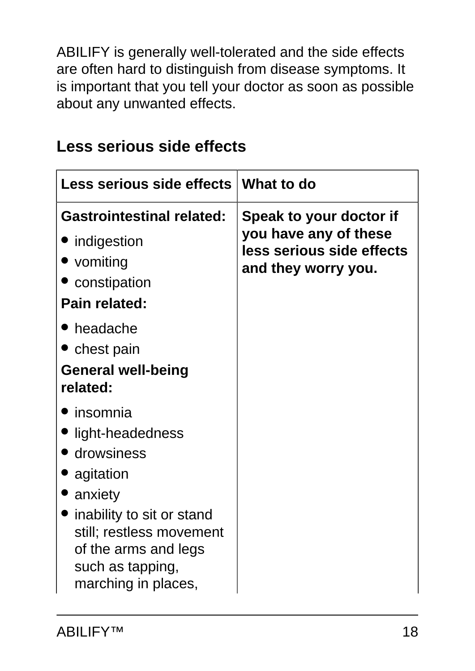ABILIFY is generally well-tolerated and the side effects are often hard to distinguish from disease symptoms. It is important that you tell your doctor as soon as possible about any unwanted effects.

| Less serious side effects   What to do                                                                                                                                                           |                                                                                                      |
|--------------------------------------------------------------------------------------------------------------------------------------------------------------------------------------------------|------------------------------------------------------------------------------------------------------|
| <b>Gastrointestinal related:</b><br>• indigestion<br>• vomiting<br>• constipation<br>Pain related:                                                                                               | Speak to your doctor if<br>you have any of these<br>less serious side effects<br>and they worry you. |
| headache<br>• chest pain<br><b>General well-being</b><br>related:                                                                                                                                |                                                                                                      |
| insomnia<br>light-headedness<br>• drowsiness<br>agitation<br>anxiety<br>inability to sit or stand<br>still; restless movement<br>of the arms and legs<br>such as tapping,<br>marching in places, |                                                                                                      |

## **Less serious side effects**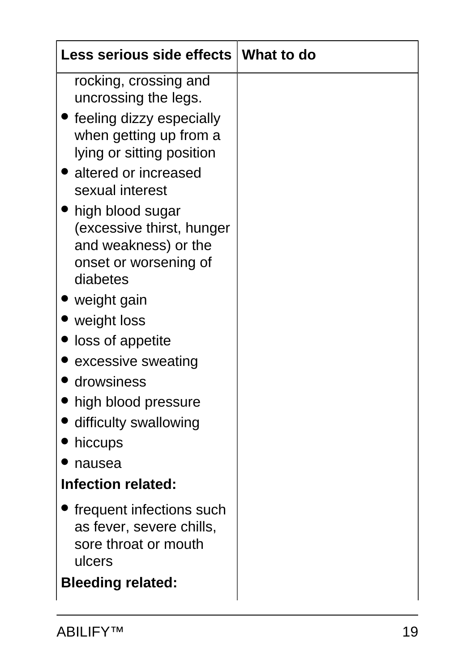| Less serious side effects   What to do                                                                                         |  |
|--------------------------------------------------------------------------------------------------------------------------------|--|
| rocking, crossing and<br>uncrossing the legs.                                                                                  |  |
| • feeling dizzy especially<br>when getting up from a<br>lying or sitting position<br>• altered or increased<br>sexual interest |  |
| high blood sugar<br>(excessive thirst, hunger<br>and weakness) or the<br>onset or worsening of<br>diabetes                     |  |
| ■ weight gain                                                                                                                  |  |
| weight loss                                                                                                                    |  |
| loss of appetite                                                                                                               |  |
| excessive sweating                                                                                                             |  |
| drowsiness                                                                                                                     |  |
| high blood pressure                                                                                                            |  |
| difficulty swallowing                                                                                                          |  |
| hiccups                                                                                                                        |  |
| nausea                                                                                                                         |  |
| <b>Infection related:</b>                                                                                                      |  |
| frequent infections such<br>as fever, severe chills,<br>sore throat or mouth<br>ulcers<br><b>Bleeding related:</b>             |  |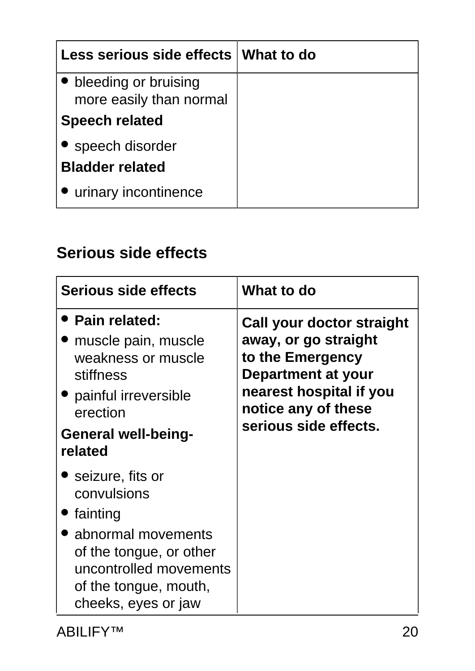| Less serious side effects   What to do            |  |
|---------------------------------------------------|--|
| • bleeding or bruising<br>more easily than normal |  |
| <b>Speech related</b>                             |  |
| • speech disorder<br><b>Bladder related</b>       |  |
| • urinary incontinence                            |  |

## **Serious side effects**

| Serious side effects                                                                                                                                                                 | What to do                                                                                                                                                                    |
|--------------------------------------------------------------------------------------------------------------------------------------------------------------------------------------|-------------------------------------------------------------------------------------------------------------------------------------------------------------------------------|
| • Pain related:<br>muscle pain, muscle<br>weakness or muscle<br>stiffness<br>• painful irreversible<br>erection<br><b>General well-being-</b><br>related                             | Call your doctor straight<br>away, or go straight<br>to the Emergency<br><b>Department at your</b><br>nearest hospital if you<br>notice any of these<br>serious side effects. |
| $\bullet\,$ seizure, fits or<br>convulsions<br>• fainting<br>abnormal movements<br>of the tongue, or other<br>uncontrolled movements<br>of the tongue, mouth,<br>cheeks, eyes or jaw |                                                                                                                                                                               |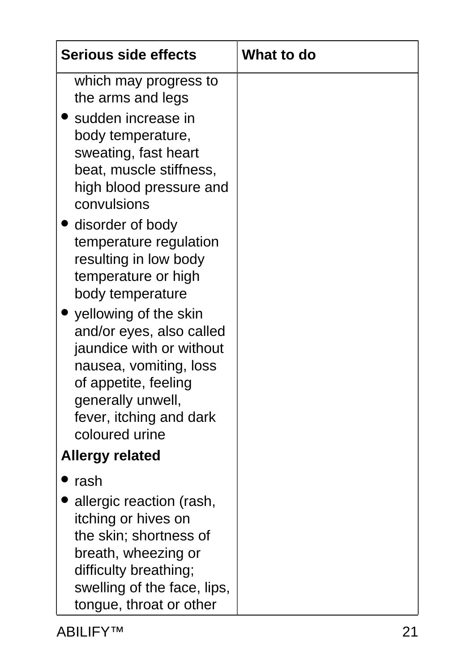| <b>Serious side effects</b>                                                                                                                                                                                                                                                                                                                                                                                                             | What to do |
|-----------------------------------------------------------------------------------------------------------------------------------------------------------------------------------------------------------------------------------------------------------------------------------------------------------------------------------------------------------------------------------------------------------------------------------------|------------|
| which may progress to<br>the arms and legs<br>sudden increase in<br>body temperature,<br>sweating, fast heart<br>beat, muscle stiffness,<br>high blood pressure and<br>convulsions<br>disorder of body<br>temperature regulation<br>resulting in low body<br>temperature or high<br>body temperature<br>yellowing of the skin<br>and/or eyes, also called<br>jaundice with or without<br>nausea, vomiting, loss<br>of appetite, feeling |            |
| generally unwell,<br>fever, itching and dark<br>coloured urine                                                                                                                                                                                                                                                                                                                                                                          |            |
| <b>Allergy related</b>                                                                                                                                                                                                                                                                                                                                                                                                                  |            |
| rash<br>allergic reaction (rash,<br>itching or hives on<br>the skin; shortness of<br>breath, wheezing or<br>difficulty breathing;<br>swelling of the face, lips,<br>tongue, throat or other                                                                                                                                                                                                                                             |            |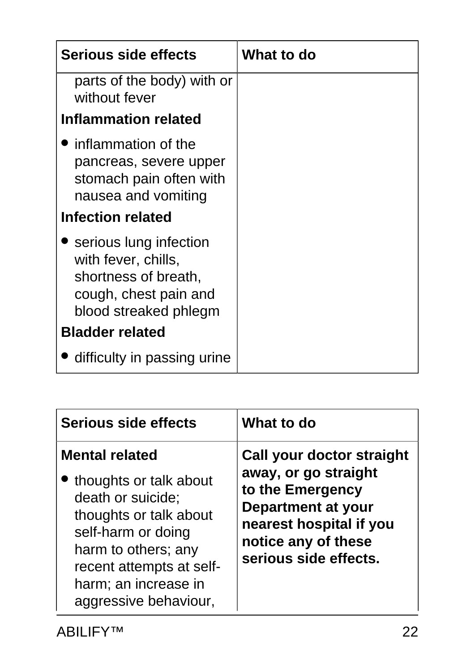| <b>Serious side effects</b>                                                                                             | What to do |
|-------------------------------------------------------------------------------------------------------------------------|------------|
| parts of the body) with or<br>without fever                                                                             |            |
| <b>Inflammation related</b>                                                                                             |            |
| linflammation of the<br>pancreas, severe upper<br>stomach pain often with<br>nausea and vomiting                        |            |
| <b>Infection related</b>                                                                                                |            |
| serious lung infection<br>with fever, chills,<br>shortness of breath,<br>cough, chest pain and<br>blood streaked phlegm |            |
| <b>Bladder related</b>                                                                                                  |            |
| difficulty in passing urine                                                                                             |            |

| Serious side effects                                                                                                                                                                                                     | What to do                                                                                                                                                                    |
|--------------------------------------------------------------------------------------------------------------------------------------------------------------------------------------------------------------------------|-------------------------------------------------------------------------------------------------------------------------------------------------------------------------------|
| <b>Mental related</b><br>thoughts or talk about<br>death or suicide;<br>thoughts or talk about<br>self-harm or doing<br>harm to others; any<br>recent attempts at self-<br>harm; an increase in<br>aggressive behaviour, | Call your doctor straight<br>away, or go straight<br>to the Emergency<br><b>Department at your</b><br>nearest hospital if you<br>notice any of these<br>serious side effects. |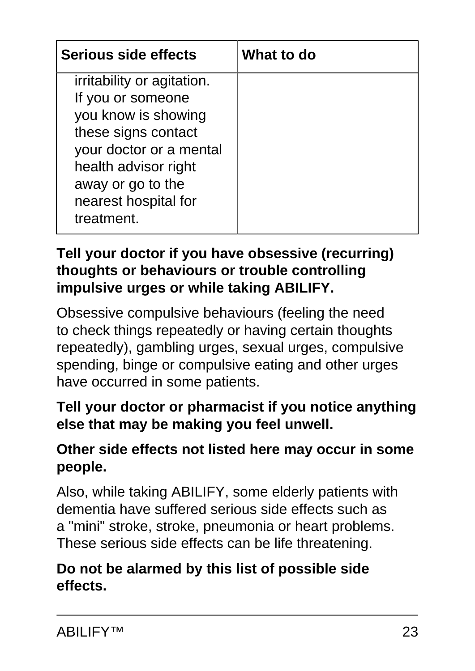| Serious side effects                                                                                                                                                                                               | What to do |
|--------------------------------------------------------------------------------------------------------------------------------------------------------------------------------------------------------------------|------------|
| <i>irritability or agitation.</i><br>If you or someone<br>you know is showing<br>these signs contact<br>your doctor or a mental<br>health advisor right<br>away or go to the<br>nearest hospital for<br>treatment. |            |

#### **Tell your doctor if you have obsessive (recurring) thoughts or behaviours or trouble controlling impulsive urges or while taking ABILIFY.**

Obsessive compulsive behaviours (feeling the need to check things repeatedly or having certain thoughts repeatedly), gambling urges, sexual urges, compulsive spending, binge or compulsive eating and other urges have occurred in some patients.

### **Tell your doctor or pharmacist if you notice anything else that may be making you feel unwell.**

### **Other side effects not listed here may occur in some people.**

Also, while taking ABILIFY, some elderly patients with dementia have suffered serious side effects such as a "mini" stroke, stroke, pneumonia or heart problems. These serious side effects can be life threatening.

#### **Do not be alarmed by this list of possible side effects.**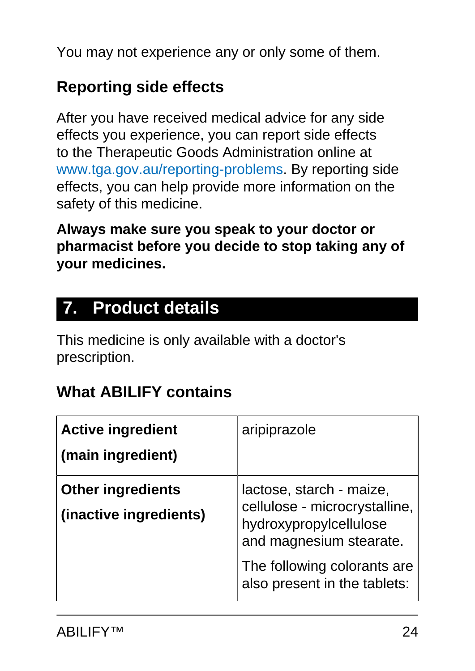You may not experience any or only some of them.

## **Reporting side effects**

After you have received medical advice for any side effects you experience, you can report side effects to the Therapeutic Goods Administration online at [www.tga.gov.au/reporting-problems.](http://www.tga.gov.au/reporting-problems) By reporting side effects, you can help provide more information on the safety of this medicine.

**Always make sure you speak to your doctor or pharmacist before you decide to stop taking any of your medicines.**

# <span id="page-23-0"></span>**7. Product details**

This medicine is only available with a doctor's prescription.

## **What ABILIFY contains**

| <b>Active ingredient</b><br>(main ingredient)      | aripiprazole                                                                                                                                                                  |
|----------------------------------------------------|-------------------------------------------------------------------------------------------------------------------------------------------------------------------------------|
| <b>Other ingredients</b><br>(inactive ingredients) | lactose, starch - maize,<br>cellulose - microcrystalline,<br>hydroxypropylcellulose<br>and magnesium stearate.<br>The following colorants are<br>also present in the tablets: |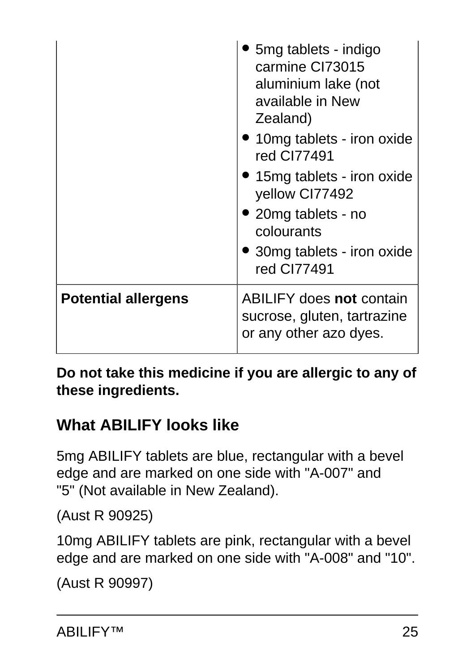|                            | 5mg tablets - indigo<br>carmine CI73015<br>aluminium lake (not<br>available in New<br>Zealand)<br>• 10mg tablets - iron oxide<br>red CI77491<br>• 15mg tablets - iron oxide<br>yellow CI77492<br>• 20mg tablets - no<br>colourants<br>• 30 mg tablets - iron oxide<br>red CI77491 |
|----------------------------|-----------------------------------------------------------------------------------------------------------------------------------------------------------------------------------------------------------------------------------------------------------------------------------|
| <b>Potential allergens</b> | <b>ABILIFY does not contain</b><br>sucrose, gluten, tartrazine<br>or any other azo dyes.                                                                                                                                                                                          |

**Do not take this medicine if you are allergic to any of these ingredients.**

# **What ABILIFY looks like**

5mg ABILIFY tablets are blue, rectangular with a bevel edge and are marked on one side with "A-007" and "5" (Not available in New Zealand).

(Aust R 90925)

10mg ABILIFY tablets are pink, rectangular with a bevel edge and are marked on one side with "A-008" and "10".

```
(Aust R 90997)
```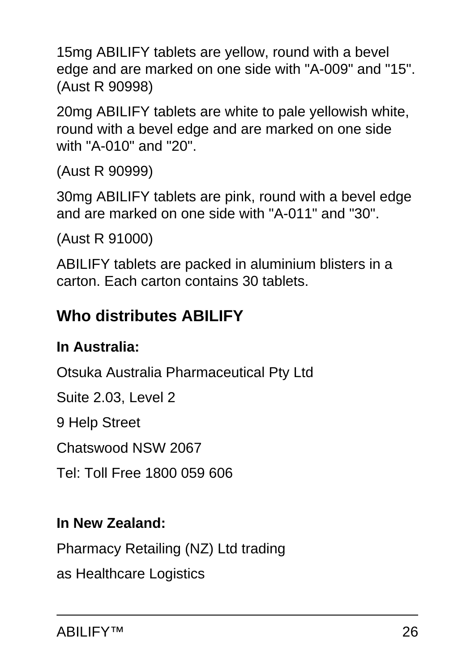15mg ABILIFY tablets are yellow, round with a bevel edge and are marked on one side with "A-009" and "15". (Aust R 90998)

20mg ABILIFY tablets are white to pale yellowish white, round with a bevel edge and are marked on one side with "A-010" and "20".

(Aust R 90999)

30mg ABILIFY tablets are pink, round with a bevel edge and are marked on one side with "A-011" and "30".

(Aust R 91000)

ABILIFY tablets are packed in aluminium blisters in a carton. Each carton contains 30 tablets.

## **Who distributes ABILIFY**

### **In Australia:**

Otsuka Australia Pharmaceutical Pty Ltd

Suite 2.03, Level 2

9 Help Street

Chatswood NSW 2067

Tel: Toll Free 1800 059 606

### **In New Zealand:**

Pharmacy Retailing (NZ) Ltd trading

as Healthcare Logistics